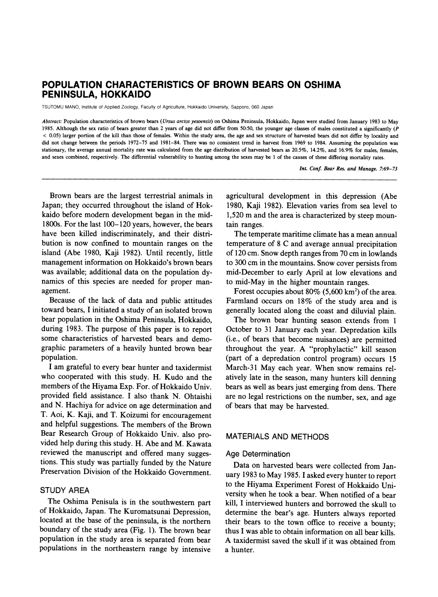# **POPULATION CHARACTERISTICS OF BROWN BEARS ON OSHIMA PENINSULA, HOKKAIDO**

**TSUTOMU MANO, Institute of Applied Zoology, Faculty of Agriculture, Hokkaido University, Sapporo, 060 Japan** 

**Abstract: Population characteristics of brown bears (Ursus arctos yesoensis) on Oshima Peninsula, Hokkaido, Japan were studied from January 1983 to May 1985. Although the sex ratio of bears greater than 2 years of age did not differ from 50:50, the younger age classes of males constituted a significantly (P < 0.05) larger portion of the kill than those of females. Within the study area, the age and sex structure of harvested bears did not differ by locality and did not change between the periods 1972-75 and 1981-84. There was no consistent trend in harvest from 1969 to 1984. Assuming the population was stationary, the average annual mortality rate was calculated from the age distribution of harvested bears as 20.5%, 14.2%, and 16.9% for males, females, and sexes combined, respectively. The differential vulnerability to hunting among the sexes may be 1 of the causes of these differing mortality rates.** 

**Int. Conf. Bear Res. and Manage. 7:69-73** 

**Brown bears are the largest terrestrial animals in Japan; they occurred throughout the island of Hokkaido before modem development began in the mid-1800s. For the last 100-120 years, however, the bears have been killed indiscriminately, and their distribution is now confined to mountain ranges on the island (Abe 1980, Kaji 1982). Until recently, little management information on Hokkaido's brown bears was available; additional data on the population dynamics of this species are needed for proper management.** 

**Because of the lack of data and public attitudes toward bears, I initiated a study of an isolated brown bear population in the Oshima Peninsula, Hokkaido, during 1983. The purpose of this paper is to report some characteristics of harvested bears and demographic parameters of a heavily hunted brown bear population.** 

**I am grateful to every bear hunter and taxidermist who cooperated with this study. H. Kudo and the members of the Hiyama Exp. For. of Hokkaido Univ. provided field assistance. I also thank N. Ohtaishi and N. Hachiya for advice on age determination and T. Aoi, K. Kaji, and T. Koizumi for encouragement and helpful suggestions. The members of the Brown Bear Research Group of Hokkaido Univ. also provided help during this study. H. Abe and M. Kawata reviewed the manuscript and offered many suggestions. This study was partially funded by the Nature Preservation Division of the Hokkaido Government.** 

# **STUDY AREA**

**The Oshima Penisula is in the southwestern part of Hokkaido, Japan. The Kuromatsunai Depression, located at the base of the peninsula, is the northern boundary of the study area (Fig. 1). The brown bear population in the study area is separated from bear populations in the northeastern range by intensive** 

**agricultural development in this depression (Abe 1980, Kaji 1982). Elevation varies from sea level to 1,520 m and the area is characterized by steep mountain ranges.** 

**The temperate maritime climate has a mean annual temperature of 8 C and average annual precipitation of 120 cm. Snow depth ranges from 70 cm in lowlands to 300 cm in the mountains. Snow cover persists from mid-December to early April at low elevations and to mid-May in the higher mountain ranges.** 

Forest occupies about 80% (5,600 km<sup>2</sup>) of the area. **Farmland occurs on 18% of the study area and is generally located along the coast and diluvial plain.** 

**The brown bear hunting season extends from 1 October to 31 January each year. Depredation kills (i.e., of bears that become nuisances) are permitted throughout the year. A "prophylactic" kill season (part of a depredation control program) occurs 15 March-31 May each year. When snow remains relatively late in the season, many hunters kill denning bears as well as bears just emerging from dens. There are no legal restrictions on the number, sex, and age of bears that may be harvested.** 

# **MATERIALS AND METHODS**

### **Age Determination**

**Data on harvested bears were collected from January 1983 to May 1985. I asked every hunter to report to the Hiyama Experiment Forest of Hokkaido University when he took a bear. When notified of a bear kill, I interviewed hunters and borrowed the skull to determine the bear's age. Hunters always reported their bears to the town office to receive a bounty; thus I was able to obtain information on all bear kills. A taxidermist saved the skull if it was obtained from a hunter.**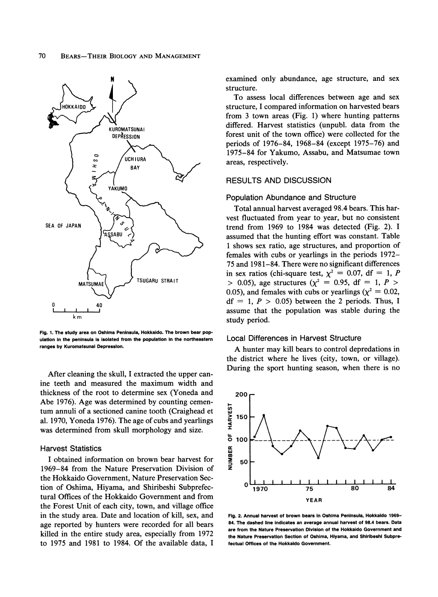

**Fig. 1. The study area on Oshima Peninsula, Hokkaido. The brown bear population in the peninsula is isolated from the population in the northeastern ranges by Kuromatsunai Depression.** 

**After cleaning the skull, I extracted the upper canine teeth and measured the maximum width and thickness of the root to determine sex (Yoneda and Abe 1976). Age was determined by counting cementum annuli of a sectioned canine tooth (Craighead et al. 1970, Yoneda 1976). The age of cubs and yearlings was determined from skull morphology and size.** 

# **Harvest Statistics**

**I obtained information on brown bear harvest for 1969-84 from the Nature Preservation Division of the Hokkaido Government, Nature Preservation Section of Oshima, Hiyama, and Shiribeshi Subprefectural Offices of the Hokkaido Government and from the Forest Unit of each city, town, and village office in the study area. Date and location of kill, sex, and age reported by hunters were recorded for all bears killed in the entire study area, especially from 1972 to 1975 and 1981 to 1984. Of the available data, I** 

**examined only abundance, age structure, and sex structure.** 

**To assess local differences between age and sex structure, I compared information on harvested bears from 3 town areas (Fig. 1) where hunting patterns differed. Harvest statistics (unpubl. data from the forest unit of the town office) were collected for the periods of 1976-84, 1968-84 (except 1975-76) and 1975-84 for Yakumo, Assabu, and Matsumae town areas, respectively.** 

## **RESULTS AND DISCUSSION**

#### **Population Abundance and Structure**

**Total annual harvest averaged 98.4 bears. This harvest fluctuated from year to year, but no consistent trend from 1969 to 1984 was detected (Fig. 2). I assumed that the hunting effort was constant. Table 1 shows sex ratio, age structures, and proportion of females with cubs or yearlings in the periods 1972- 75 and 1981-84. There were no significant differences**  in sex ratios (chi-square test,  $\chi^2 = 0.07$ , df = 1, P  $>$  0.05), age structures ( $\chi^2$  = 0.95, df = 1, P  $>$ 0.05), and females with cubs or yearlings ( $\chi^2 = 0.02$ ,  $df = 1, P > 0.05$  between the 2 periods. Thus, I **assume that the population was stable during the study period.** 

### **Local Differences in Harvest Structure**

**A hunter may kill bears to control depredations in the district where he lives (city, town, or village). During the sport hunting season, when there is no** 



**Fig. 2. Annual harvest of brown bears in Oshima Peninsula, Hokkaido 1969- 84. The dashed line indicates an average annual harvest of 98.4 bears. Data are from the Nature Preservation Division of the Hokkaido Government and the Nature Preservation Section of Oshima, Hiyama, and Shiribeshi Subprefectual Offices of the Hokkaido Government.**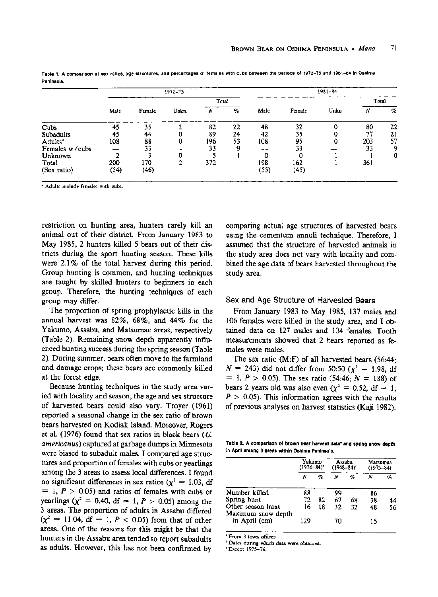|                     | 1972-75 |        |       |       |    | $1981 - 84$ |        |       |       |    |  |
|---------------------|---------|--------|-------|-------|----|-------------|--------|-------|-------|----|--|
|                     |         |        |       | Total |    |             |        |       | Total |    |  |
|                     | Male    | Female | Unkn. | Ν     | %  | Male        | Female | Unkn. | Ν     | %  |  |
| Cubs                | 45      | 35     |       | 82    | 22 | 48          | 32     |       | 80    | 22 |  |
| Subadults           | 45      | 44     |       | 89    | 24 | 42          | 35     |       | 77    | 21 |  |
| Adults <sup>ª</sup> | 108     | 88     | Ω     | 196   | 53 | 108         | 95     | 0     | 203   | 57 |  |
| Females w/cubs      |         | 33     |       | 33    |    |             | 33     |       | 33    | 9  |  |
| Unknown             |         |        | 0     |       |    | 0           | 0      |       |       | 0  |  |
| Total               | 200     | 170    |       | 372   |    | 198         | 162    |       | 361   |    |  |
| (Sex ratio)         | (54)    | (46)   |       |       |    | (55)        | (45)   |       |       |    |  |

**Table 1. A comparison of sex ratios, age structures, and percentages of females with cubs between the periods of 1972-75 and 1981-84 In Oshima Peninsula.** 

**a Adults include females with cubs.** 

**restriction on hunting area, hunters rarely kill an animal out of their district. From January 1983 to May 1985, 2 hunters killed 5 bears out of their districts during the sport hunting season. These kills were 2.1% of the total harvest during this period. Group hunting is common, and hunting techniques are taught by skilled hunters to beginners in each group. Therefore, the hunting techniques of each group may differ.** 

**The proportion of spring prophylactic kills in the annual harvest was 82%, 68%, and 44% for the Yakumo, Assabu, and Matsumae areas, respectively (Table 2). Remaining snow depth apparently influenced hunting success during the spring season (Table 2). During summer, bears often move to the farmland and damage crops; these bears are commonly killed at the forest edge.** 

**Because hunting techniques in the study area varied with locality and season, the age and sex structure of harvested bears could also vary. Troyer (1961) reported a seasonal change in the sex ratio of brown bears harvested on Kodiak Island. Moreover, Rogers et al. (1976) found that sex ratios in black bears (U. americanus) captured at garbage dumps in Minnesota were biased to subadult males. I compared age structures and proportion of females with cubs or yearlings among the 3 areas to assess local differences. I found**  no significant differences in sex ratios ( $\chi^2 = 1.03$ , df  $= 1, P > 0.05$  and ratios of females with cubs or **yearlings** ( $\chi^2 = 0.40$ , df = 1, P > 0.05) among the **3 areas. The proportion of adults in Assabu differed**   $(x^2 = 11.04, df = 1, P < 0.05)$  from that of other **areas. One of the reasons for this might be that the hunters in the Assabu area tended to report subadults as adults. However, this has not been confirmed by** 

**comparing actual age structures of harvested bears using the cementum annuli technique. Therefore, I assumed that the structure of harvested animals in the study area does not vary with locality and combined the age data of bears harvested throughout the study area.** 

#### **Sex and Age Structure of Harvested Bears**

**From January 1983 to May 1985, 137 males and 106 females were killed in the study area, and I obtained data on 127 males and 104 females. Tooth measurements showed that 2 bears reported as females were males.** 

**The sex ratio (M:F) of all harvested bears (56:44;**   $N = 243$ ) did not differ from 50:50  $(\chi^2 = 1.98, d)$ **= 1, P > 0.05). The sex ratio (54:46; N = 188) of**  bears 2 years old was also even  $(\chi^2 = 0.52, df = 1,$  $P > 0.05$ ). This information agrees with the results **of previous analyses on harvest statistics (Kaji 1982).** 

Table 2. A comparison of brown bear harvest data<sup>®</sup> and spring snow depth **in April among 3 areas within Oshima Peninsula.** 

|                                         | Yakumo<br>$(1976 - 84)^{o}$ |    | Assabu<br>$(1968 - 84)$ |    | Matsumae<br>$(1975 - 84)$ |    |
|-----------------------------------------|-----------------------------|----|-------------------------|----|---------------------------|----|
|                                         | Ν                           | %  | Ν                       | %  | N                         | q, |
| Number killed                           | 88                          |    | 99                      |    | 86                        |    |
| Spring hunt                             | 72                          | 82 | 67                      | 68 | 38                        | 44 |
| Other season hunt<br>Maximum snow depth | 16                          | 18 | 32                      | 32 | 48                        | 56 |
| in April (cm)                           | 129                         |    | 70                      |    | 15                        |    |

**From 3 town offices.** 

**b Dates during which data were obtained.** 

**c Except 1975-76.**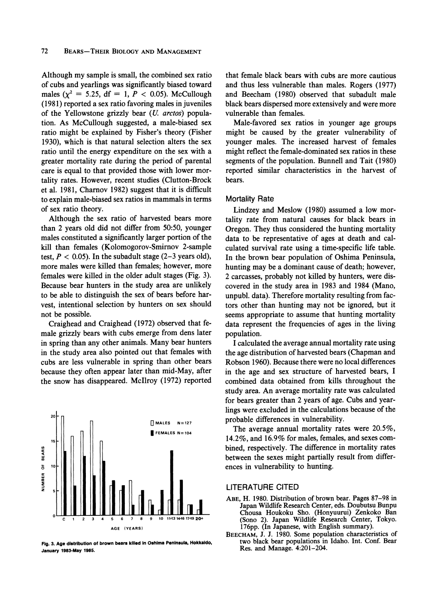**Although my sample is small, the combined sex ratio of cubs and yearlings was significantly biased toward**  males ( $\chi^2 = 5.25$ , df = 1, P < 0.05). McCullough **(1981) reported a sex ratio favoring males in juveniles of the Yellowstone grizzly bear (U. arctos) population. As McCullough suggested, a male-biased sex ratio might be explained by Fisher's theory (Fisher 1930), which is that natural selection alters the sex ratio until the energy expenditure on the sex with a greater mortality rate during the period of parental care is equal to that provided those with lower mortality rates. However, recent studies (Clutton-Brock et al. 1981, Charov 1982) suggest that it is difficult to explain male-biased sex ratios in mammals in terms of sex ratio theory.** 

**Although the sex ratio of harvested bears more than 2 years old did not differ from 50:50, younger males constituted a significantly larger portion of the kill than females (Kolomogorov-Smirov 2-sample**  test,  $P < 0.05$ ). In the subadult stage  $(2-3$  years old), **more males were killed than females; however, more females were killed in the older adult stages (Fig. 3). Because bear hunters in the study area are unlikely to be able to distinguish the sex of bears before harvest, intentional selection by hunters on sex should not be possible.** 

**Craighead and Craighead (1972) observed that female grizzly bears with cubs emerge from dens later in spring than any other animals. Many bear hunters in the study area also pointed out that females with cubs are less vulnerable in spring than other bears because they often appear later than mid-May, after the snow has disappeared. McIlroy (1972) reported** 



**Fig. 3. Age distribution of brown bears killed in Oshima Peninsula, Hokkaido, January 1983-May 1985.** 

**that female black bears with cubs are more cautious and thus less vulnerable than males. Rogers (1977) and Beecham (1980) observed that subadult male black bears dispersed more extensively and were more vulnerable than females.** 

**Male-favored sex ratios in younger age groups might be caused by the greater vulnerability of younger males. The increased harvest of females might reflect the female-dominated sex ratios in these segments of the population. Bunnell and Tait (1980) reported similar characteristics in the harvest of bears.** 

# **Mortality Rate**

**Lindzey and Meslow (1980) assumed a low mortality rate from natural causes for black bears in Oregon. They thus considered the hunting mortality data to be representative of ages at death and calculated survival rate using a time-specific life table. In the brown bear population of Oshima Peninsula, hunting may be a dominant cause of death; however, 2 carcasses, probably not killed by hunters, were discovered in the study area in 1983 and 1984 (Mano, unpubl. data). Therefore mortality resulting from factors other than hunting may not be ignored, but it seems appropriate to assume that hunting mortality data represent the frequencies of ages in the living population.** 

**I calculated the average annual mortality rate using the age distribution of harvested bears (Chapman and Robson 1960). Because there were no local differences in the age and sex structure of harvested bears, I combined data obtained from kills throughout the study area. An average mortality rate was calculated for bears greater than 2 years of age. Cubs and yearlings were excluded in the calculations because of the probable differences in vulnerability.** 

**The average annual mortality rates were 20.5%, 14.2%, and 16.9% for males, females, and sexes combined, respectively. The difference in mortality rates between the sexes might partially result from differences in vulnerability to hunting.** 

### **LITERATURE CITED**

- **ABE, H. 1980. Distribution of brown bear. Pages 87-98 in Japan Wildlife Research Center, eds. Doubutsu Bunpu Chousa Houkoku Sho. (Honyuurui) Zenkoko Ban (Sono 2). Japan Wildlife Research Center, Tokyo. 176pp. (In Japanese, with English summary).**
- **BEECHAM, J. J. 1980. Some population characteristics of two black bear populations in Idaho. Int. Conf. Bear Res. and Manage. 4:201-204.**